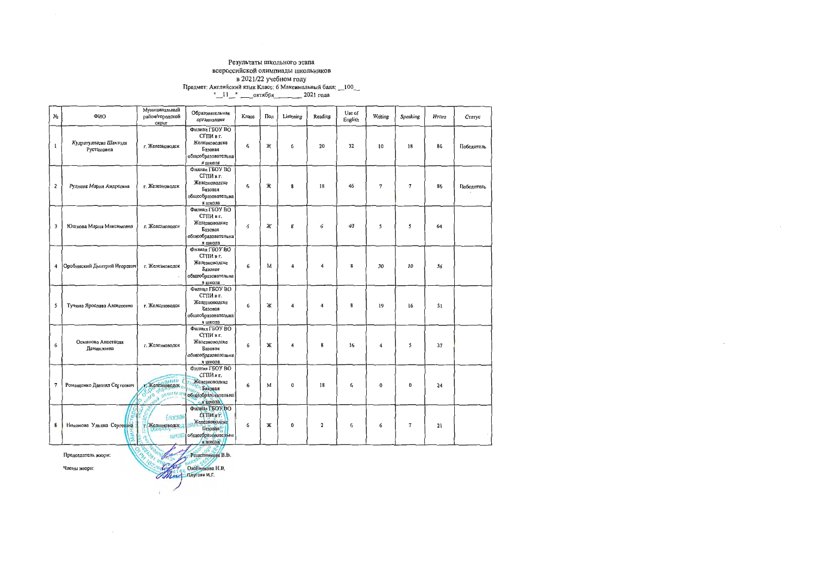### Результаты школьного этапа всероссийской олимпиады школьников

| N <sub>2</sub>   | ФИО                                                      | Муниципальный<br>район/городской<br>округ              | Образовательная<br>организация                                                                                                            | Класс | Пол | Listening        | Reading                 | Use of<br>English | Writing          | Speaking       | HTOro | Статус     |
|------------------|----------------------------------------------------------|--------------------------------------------------------|-------------------------------------------------------------------------------------------------------------------------------------------|-------|-----|------------------|-------------------------|-------------------|------------------|----------------|-------|------------|
| $\mathbf{1}$     | Кудратулласва Шахзода<br>Рустамовна                      | г. Железноводск                                        | Филиал ГБОУ ВО<br>СГПИ в г.<br>Железноводске<br>Базовая<br>общеобразовательна<br>я школа                                                  | 6     | Ж   | 6                | 20                      | 32                | 10               | 18             | 86    | Победитель |
| $\overline{2}$   | Руднева Мария Андресвна                                  | г. Железноводск                                        | Филиал ГБОУ ВО<br>СГПИ в г.<br>Железноводске<br>Базовая<br>общеобразовательна<br>я школа                                                  | 6     | Ж   | 8                | 18                      | 46                | 7                | $\overline{7}$ | 86    | Победитель |
| 3                | Юшкова Мария Максимовна                                  | г. Железноводск                                        | Филиал ГБОУ ВО<br>СГПИ в г.<br>Железноводске<br>Базовая<br>общеобразовательна<br>я школа                                                  | 6     | Ж   | 8                | 6                       | 40                | 5                | 5              | 64    |            |
| 4                | Оробинский Дмитрий Игоревич                              | г. Железноводск                                        | Филиал ГБОУ ВО<br>СГПИ в г.<br>Железноводске<br>Базовая<br>общеобразовательна<br>я школа                                                  | 6     | М   | 4                | 4                       | 8                 | 30               | 10             | 56    |            |
| 5                | Тучина Ярослава Алексеевна                               | г. Железноводск                                        | Филиал ГБОУ ВО<br>СГПИ в г.<br>Железноводске<br>Базовая<br>общеобразовательна<br>я школа                                                  | 6     | Ж   | 4                | 4                       | 8                 | 19               | 16             | 51    |            |
| 6                | Османова Анастасия<br>Данияловна                         | г. Железноводск                                        | Филиал ГБОУ ВО<br>СГПИ в г.<br>Железноводске<br>Базовая<br>общеобразовательна<br>я школа                                                  | 6     | Ж   | 4                | 8                       | 16                | $\boldsymbol{4}$ | 5              | 37    |            |
| $\boldsymbol{7}$ | Ромащенко Даниил Сергеевич                               | г. Железноводск<br><b>COD 0003</b><br>of www.newarning | <b><i><u>Oroman FEOV RO</u></i></b><br>СГПИ в г.<br>Железноводске<br>Базовая<br>но разовательна<br>- я школа                              | 6     | м   | 0                | 18                      | 6                 | $\Omega$         | $\theta$       | 24    |            |
| ŝ.               | Никонова Ульяна Сергеевна Г. Т. Железноводску<br>$\circ$ | F.330888<br><b>BROKE</b><br>þ<br>$\mathscr{I}$         | Филиал ГБОУ ВО<br>СГПИ в Р.<br>Железноводске<br>Базовая 9<br>общеобразовательна<br>я школа?<br>$\mathscr{E}$<br>$\mathcal{C}_\mathcal{O}$ | 6     | Ж   | $\boldsymbol{0}$ | $\overline{\mathbf{c}}$ | 6                 | 6                | $\overline{7}$ | 21    |            |

 $\sim$ 

Председатель жюри:

PetuerHukona B.B. OneHinnkona H.B.

Члены жюри:

 $\sim 100$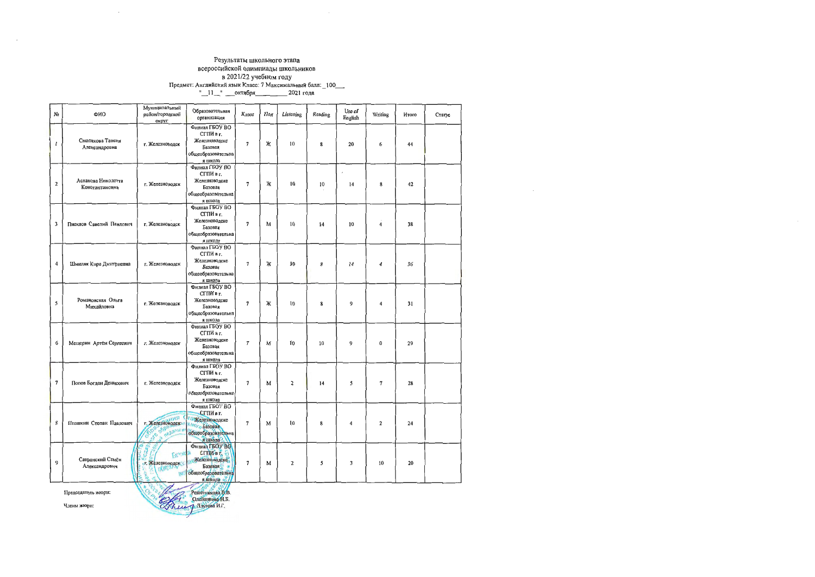### Результаты школьного этапа всероссийской олимпиады школьников  $B$  2021/22 учебном году<br>
В 2021/22 чебном году<br>
Предмет: Английский язык Класс: 7 Максимальный балл: \_100\_\_\_\_<br>
"\_\_11\_\_" \_\_\_октября \_\_\_\_\_\_\_\_\_\_\_\_\_\_\_ 2021 года

| Nº             | ФИО                                                                                    | Муниципальный<br>район/городской<br>округ                                  | Образовательная<br>организация                                                                           | Класс                    | Пол | Listening               | Reading | Use of<br>English | Writing          | Итого | Статус |
|----------------|----------------------------------------------------------------------------------------|----------------------------------------------------------------------------|----------------------------------------------------------------------------------------------------------|--------------------------|-----|-------------------------|---------|-------------------|------------------|-------|--------|
| 1              | Смолякова Таисия<br>Александровна                                                      | г. Железноводск                                                            | Филиал ГБОУ ВО<br>СГПИ в г.<br>Железноводске<br>Базовая<br>общеобразовательна<br>я школа                 | $\overline{7}$           | Ж   | 10                      | 8       | 20                | 6                | 44    |        |
| $\mathbf{2}$   | Асланова Николетта<br>Константиновна                                                   | г. Железноводск                                                            | Филиал ГБОУ ВО<br>СГПИ в г.<br>Железноводске<br>Базовая<br>общеобразовательна<br>я школа                 | $\overline{7}$           | Ж   | 10                      | 10      | 14                | 8                | 42    |        |
| 3              | Писклов Савелий Павлович                                                               | г. Железноводск                                                            | Филнал ГБОУ ВО<br>СГПИ в г.<br>Железноводске<br>Базовая<br>общеобразовательна<br>я школа                 | $\overline{7}$           | M   | 10                      | 14      | 10                | $\boldsymbol{4}$ | 38    |        |
| 4              | Шмиляк Кира Дмитриевна                                                                 | г. Железноводск                                                            | Филиал ГБОУ ВО<br>СГПИ в г.<br>Железноводске<br>Базовая<br>общеобразовательна<br>я школа                 | $\overline{7}$           | Ж   | 10                      | 8       | 14                | 4                | 36    |        |
| $\mathsf{s}$   | Романовская Ольга<br>Михайловна                                                        | г. Железноводск                                                            | Филиал ГБОУ ВО<br>СГПИ в г.<br>Железноводске<br>Базовая<br>общеобразовательна<br>я школа                 | $\overline{7}$           | Ж   | 10                      | 8       | $9$               | $\overline{4}$   | 31    |        |
| 6              | Мещерин Артём Сергеевич                                                                | г. Железноводск                                                            | Филиал ГБОУ ВО<br>СГПИ в г.<br>Железноводске<br>Базовая<br>общеобразовательна<br>я школа                 | 7                        | M   | 10                      | 10      | 9                 | $\bf{0}$         | 29    |        |
| $\overline{7}$ | Попов Богдан Денисович                                                                 | г. Железноводск                                                            | Филиал ГБОУ ВО<br>СГПИ в г.<br>Железноводске<br>Базовая<br>общеобразовательна<br>я школа                 | $\overline{7}$           | M   | $\overline{\mathbf{2}}$ | 14      | 5                 | $\overline{7}$   | 28    |        |
| 3              | Пташкин Степан Павлонч                                                                 | г. Железноводски<br>Coco of negator                                        | Филиал I БОУ ВО<br>СГПИ в г.<br>• Железноводске<br><b>МОГО Базовая</b><br>общеобразовательна<br>я школа? | $\overline{7}$           | M   | 10                      | 8       | 4                 | $\overline{2}$   | 24    |        |
| 9              | Савранский Семён<br>Александрович                                                      | Ø<br>$\mathbf{Q}_2$<br>Fangela<br>г. Железноводск<br>UO <sub>W</sub><br>WA | Филиал ГБОУ ВО<br>СГПИ в г.<br>Келезноводске<br><b>Базовая</b><br>общеобразовательна<br>я школа          | $\overline{\phantom{a}}$ | M   | 2                       | 5       | 3                 | 10               | 20    |        |
|                | Service B<br>Orpy<br>Решетникова В.В.<br>Председатель жюри:<br>$O$ requirement $H$ $R$ |                                                                            |                                                                                                          |                          |     |                         |         |                   |                  |       |        |

Члены жюри:

 $\sim 10$ 

Thursday Thyrona H.P.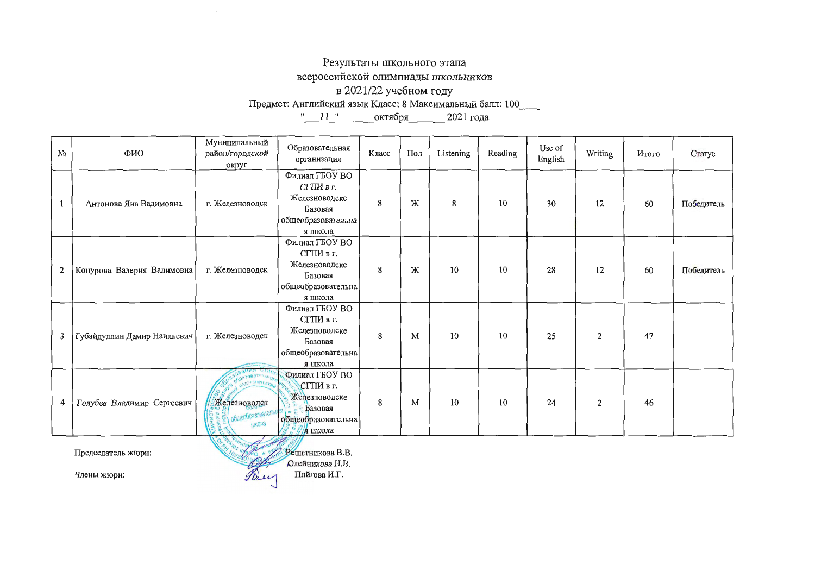# Результаты школьного этапа

всероссийской олимпиады школьников

### в 2021/22 учебном году

| $N_2$ | ФИО                         | Муниципальный<br>район/городской<br>округ                               | Образовательная<br>организация                                                           | Класс | Пол | Listening | Reading | Use of<br>English | Writing | Итого | Статус     |
|-------|-----------------------------|-------------------------------------------------------------------------|------------------------------------------------------------------------------------------|-------|-----|-----------|---------|-------------------|---------|-------|------------|
| 1     | Антонова Яна Вадимовна      | г. Железноводск                                                         | Филиал ГБОУ ВО<br>СГПИ в г.<br>Железноводске<br>Базовая<br>общеобразовательна<br>я школа | 8     | Ж   | 8         | 10      | 30                | 12      | 60    | Победитель |
| 2     | Конурова Валерия Вадимовна  | г. Железноводск                                                         | Филиал ГБОУ ВО<br>СГПИ в г.<br>Железноводске<br>Базовая<br>общеобразовательна<br>я школа | 8     | Ж   | 10        | 10      | 28                | 12      | 60    | Победитель |
| 3     | Губайдуллин Дамир Наильевич | г. Железноводск                                                         | Филиал ГБОУ ВО<br>СГПИ в г.<br>Железноводске<br>Базовая<br>общеобразовательна<br>я школа | 8     | M   | 10        | 10      | 25                | 2       | 47    |            |
| 4     | Голубев Владимир Сергеевич  | <b>STORMHOOD</b><br><b>Г. Железноводск</b><br>Общеобразователь<br>икола | Филиал ГБОУ ВО<br>СГПИ в г.<br>Железноводске<br>Базовая<br>общеобразовательна<br>я школа | 8     | M   | 10        | 10      | 24                | 2       | 46    |            |
|       | Председатель жюри:          |                                                                         | Решетникова В.В.<br>Олейникова Н.В.                                                      |       |     |           |         |                   |         |       |            |

Члены жюри:

Brey MATOBA H. T.